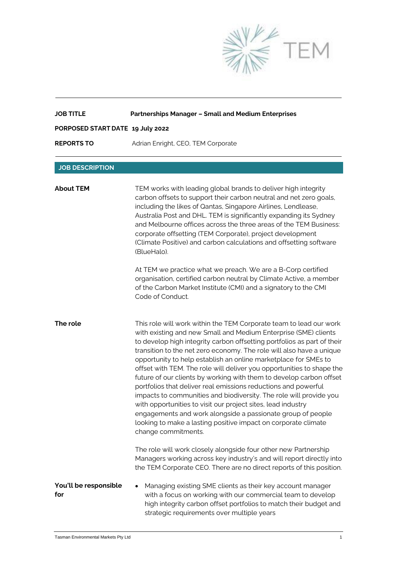

| <b>JOB TITLE</b>                 | <b>Partnerships Manager - Small and Medium Enterprises</b>                                                                                                                                                                                                                                                                                                                                                                                                                                                                                                                                                                                                                                                                                                                                                                                                                  |
|----------------------------------|-----------------------------------------------------------------------------------------------------------------------------------------------------------------------------------------------------------------------------------------------------------------------------------------------------------------------------------------------------------------------------------------------------------------------------------------------------------------------------------------------------------------------------------------------------------------------------------------------------------------------------------------------------------------------------------------------------------------------------------------------------------------------------------------------------------------------------------------------------------------------------|
| PORPOSED START DATE 19 July 2022 |                                                                                                                                                                                                                                                                                                                                                                                                                                                                                                                                                                                                                                                                                                                                                                                                                                                                             |
| <b>REPORTS TO</b>                | Adrian Enright, CEO, TEM Corporate                                                                                                                                                                                                                                                                                                                                                                                                                                                                                                                                                                                                                                                                                                                                                                                                                                          |
| <b>JOB DESCRIPTION</b>           |                                                                                                                                                                                                                                                                                                                                                                                                                                                                                                                                                                                                                                                                                                                                                                                                                                                                             |
| <b>About TEM</b>                 | TEM works with leading global brands to deliver high integrity<br>carbon offsets to support their carbon neutral and net zero goals,<br>including the likes of Qantas, Singapore Airlines, Lendlease,<br>Australia Post and DHL. TEM is significantly expanding its Sydney<br>and Melbourne offices across the three areas of the TEM Business:<br>corporate offsetting (TEM Corporate), project development<br>(Climate Positive) and carbon calculations and offsetting software<br>(BlueHalo).                                                                                                                                                                                                                                                                                                                                                                           |
|                                  | At TEM we practice what we preach. We are a B-Corp certified<br>organisation, certified carbon neutral by Climate Active, a member<br>of the Carbon Market Institute (CMI) and a signatory to the CMI<br>Code of Conduct.                                                                                                                                                                                                                                                                                                                                                                                                                                                                                                                                                                                                                                                   |
| The role                         | This role will work within the TEM Corporate team to lead our work<br>with existing and new Small and Medium Enterprise (SME) clients<br>to develop high integrity carbon offsetting portfolios as part of their<br>transition to the net zero economy. The role will also have a unique<br>opportunity to help establish an online marketplace for SMEs to<br>offset with TEM. The role will deliver you opportunities to shape the<br>future of our clients by working with them to develop carbon offset<br>portfolios that deliver real emissions reductions and powerful<br>impacts to communities and biodiversity. The role will provide you<br>with opportunities to visit our project sites, lead industry<br>engagements and work alongside a passionate group of people<br>looking to make a lasting positive impact on corporate climate<br>change commitments. |
|                                  | The role will work closely alongside four other new Partnership<br>Managers working across key industry's and will report directly into<br>the TEM Corporate CEO. There are no direct reports of this position.                                                                                                                                                                                                                                                                                                                                                                                                                                                                                                                                                                                                                                                             |
| You'll be responsible<br>for     | Managing existing SME clients as their key account manager<br>with a focus on working with our commercial team to develop<br>high integrity carbon offset portfolios to match their budget and<br>strategic requirements over multiple years                                                                                                                                                                                                                                                                                                                                                                                                                                                                                                                                                                                                                                |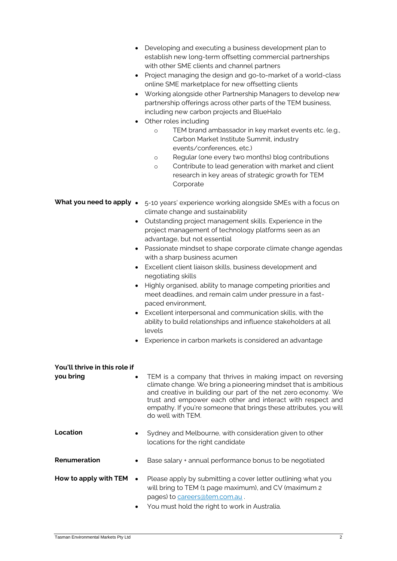- Developing and executing a business development plan to establish new long-term offsetting commercial partnerships with other SME clients and channel partners
- Project managing the design and go-to-market of a world-class online SME marketplace for new offsetting clients
- Working alongside other Partnership Managers to develop new partnership offerings across other parts of the TEM business, including new carbon projects and BlueHalo
- Other roles including
	- o TEM brand ambassador in key market events etc. (e.g., Carbon Market Institute Summit, industry events/conferences, etc.)
	- o Regular (one every two months) blog contributions
	- o Contribute to lead generation with market and client research in key areas of strategic growth for TEM Corporate

| What you need to apply • 5-10 years' experience working alongside SMEs with a focus on |
|----------------------------------------------------------------------------------------|
| climate change and sustainability                                                      |

- Outstanding project management skills. Experience in the project management of technology platforms seen as an advantage, but not essential
- Passionate mindset to shape corporate climate change agendas with a sharp business acumen
- Excellent client liaison skills, business development and negotiating skills
- Highly organised, ability to manage competing priorities and meet deadlines, and remain calm under pressure in a fastpaced environment,
- Excellent interpersonal and communication skills, with the ability to build relationships and influence stakeholders at all levels
- Experience in carbon markets is considered an advantage

| You'll thrive in this role if<br>you bring | $\bullet$ | TEM is a company that thrives in making impact on reversing<br>climate change. We bring a pioneering mindset that is ambitious<br>and creative in building our part of the net zero economy. We<br>trust and empower each other and interact with respect and<br>empathy. If you're someone that brings these attributes, you will<br>do well with TFM. |
|--------------------------------------------|-----------|---------------------------------------------------------------------------------------------------------------------------------------------------------------------------------------------------------------------------------------------------------------------------------------------------------------------------------------------------------|
| Location                                   |           | Sydney and Melbourne, with consideration given to other<br>locations for the right candidate                                                                                                                                                                                                                                                            |
| Renumeration                               | ٠         | Base salary + annual performance bonus to be negotiated                                                                                                                                                                                                                                                                                                 |
| How to apply with TEM                      | $\bullet$ | Please apply by submitting a cover letter outlining what you<br>will bring to TEM (1 page maximum), and CV (maximum 2<br>pages) to careers@tem.com.au.<br>You must hold the right to work in Australia.                                                                                                                                                 |